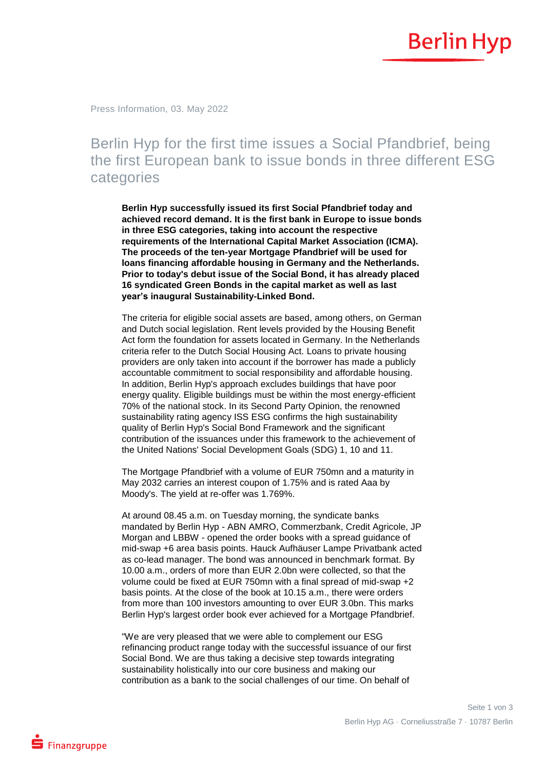

Press Information, 03. May 2022

## Berlin Hyp for the first time issues a Social Pfandbrief, being the first European bank to issue bonds in three different ESG categories

**Berlin Hyp successfully issued its first Social Pfandbrief today and achieved record demand. It is the first bank in Europe to issue bonds in three ESG categories, taking into account the respective requirements of the International Capital Market Association (ICMA). The proceeds of the ten-year Mortgage Pfandbrief will be used for loans financing affordable housing in Germany and the Netherlands. Prior to today's debut issue of the Social Bond, it has already placed 16 syndicated Green Bonds in the capital market as well as last year's inaugural Sustainability-Linked Bond.** 

The criteria for eligible social assets are based, among others, on German and Dutch social legislation. Rent levels provided by the Housing Benefit Act form the foundation for assets located in Germany. In the Netherlands criteria refer to the Dutch Social Housing Act. Loans to private housing providers are only taken into account if the borrower has made a publicly accountable commitment to social responsibility and affordable housing. In addition, Berlin Hyp's approach excludes buildings that have poor energy quality. Eligible buildings must be within the most energy-efficient 70% of the national stock. In its Second Party Opinion, the renowned sustainability rating agency ISS ESG confirms the high sustainability quality of Berlin Hyp's Social Bond Framework and the significant contribution of the issuances under this framework to the achievement of the United Nations' Social Development Goals (SDG) 1, 10 and 11.

The Mortgage Pfandbrief with a volume of EUR 750mn and a maturity in May 2032 carries an interest coupon of 1.75% and is rated Aaa by Moody's. The yield at re-offer was 1.769%.

At around 08.45 a.m. on Tuesday morning, the syndicate banks mandated by Berlin Hyp - ABN AMRO, Commerzbank, Credit Agricole, JP Morgan and LBBW - opened the order books with a spread guidance of mid-swap +6 area basis points. Hauck Aufhäuser Lampe Privatbank acted as co-lead manager. The bond was announced in benchmark format. By 10.00 a.m., orders of more than EUR 2.0bn were collected, so that the volume could be fixed at EUR 750mn with a final spread of mid-swap +2 basis points. At the close of the book at 10.15 a.m., there were orders from more than 100 investors amounting to over EUR 3.0bn. This marks Berlin Hyp's largest order book ever achieved for a Mortgage Pfandbrief.

"We are very pleased that we were able to complement our ESG refinancing product range today with the successful issuance of our first Social Bond. We are thus taking a decisive step towards integrating sustainability holistically into our core business and making our contribution as a bank to the social challenges of our time. On behalf of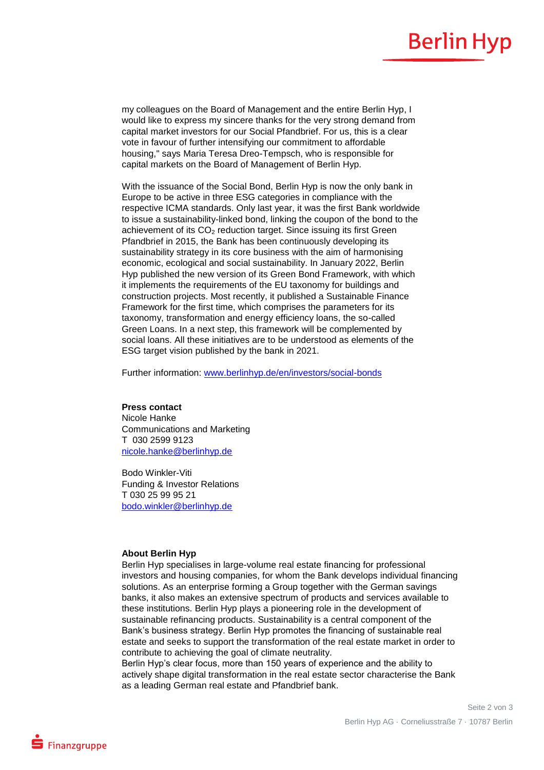## **Berlin Hyp**

my colleagues on the Board of Management and the entire Berlin Hyp, I would like to express my sincere thanks for the very strong demand from capital market investors for our Social Pfandbrief. For us, this is a clear vote in favour of further intensifying our commitment to affordable housing," says Maria Teresa Dreo-Tempsch, who is responsible for capital markets on the Board of Management of Berlin Hyp.

With the issuance of the Social Bond, Berlin Hyp is now the only bank in Europe to be active in three ESG categories in compliance with the respective ICMA standards. Only last year, it was the first Bank worldwide to issue a sustainability-linked bond, linking the coupon of the bond to the achievement of its CO<sub>2</sub> reduction target. Since issuing its first Green Pfandbrief in 2015, the Bank has been continuously developing its sustainability strategy in its core business with the aim of harmonising economic, ecological and social sustainability. In January 2022, Berlin Hyp published the new version of its Green Bond Framework, with which it implements the requirements of the EU taxonomy for buildings and construction projects. Most recently, it published a Sustainable Finance Framework for the first time, which comprises the parameters for its taxonomy, transformation and energy efficiency loans, the so-called Green Loans. In a next step, this framework will be complemented by social loans. All these initiatives are to be understood as elements of the ESG target vision published by the bank in 2021.

Further information: [www.berlinhyp.de/en/investors/social-bonds](http://www.berlinhyp.de/en/investors/social-bonds)

## **Press contact**

Nicole Hanke Communications and Marketing T 030 2599 9123 [nicole.hanke@berlinhyp.de](mailto:nicole.hanke@berlinhyp.de)

Bodo Winkler-Viti Funding & Investor Relations T 030 25 99 95 21 [bodo.winkler@berlinhyp.de](mailto:bodo.winkler@berlinhyp.de)

## **About Berlin Hyp**

Berlin Hyp specialises in large-volume real estate financing for professional investors and housing companies, for whom the Bank develops individual financing solutions. As an enterprise forming a Group together with the German savings banks, it also makes an extensive spectrum of products and services available to these institutions. Berlin Hyp plays a pioneering role in the development of sustainable refinancing products. Sustainability is a central component of the Bank's business strategy. Berlin Hyp promotes the financing of sustainable real estate and seeks to support the transformation of the real estate market in order to contribute to achieving the goal of climate neutrality.

Berlin Hyp's clear focus, more than 150 years of experience and the ability to actively shape digital transformation in the real estate sector characterise the Bank as a leading German real estate and Pfandbrief bank.